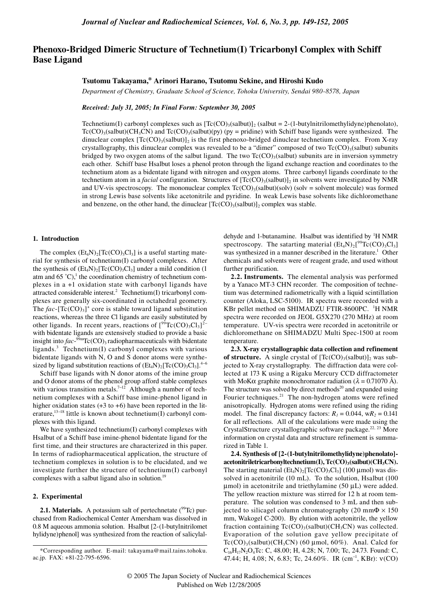# **Phenoxo-Bridged Dimeric Structure of Technetium(I) Tricarbonyl Complex with Schiff Base Ligand**

## **Tsutomu Takayama,\* Arinori Harano, Tsutomu Sekine, and Hiroshi Kudo**

*Department of Chemistry, Graduate School of Science, Tohoku University, Sendai 980-8578, Japan*

*Received: July 31, 2005; In Final Form: September 30, 2005*

Technetium(I) carbonyl complexes such as  $Tc(CO)$ <sub>3</sub>(salbut)]<sub>2</sub> (salbut = 2-(1-butylnitrilomethylidyne)phenolato),  $Tc(CO)$ <sub>3</sub>(salbut)(CH<sub>3</sub>CN) and  $Tc(CO)$ <sub>3</sub>(salbut)(py) (py = pridine) with Schiff base ligands were synthesized. The dinuclear complex  $[Te(CO)_3(salbut)]_2$  is the first phenoxo-bridged dinuclear technetium complex. From X-ray crystallography, this dinuclear complex was revealed to be a "dimer" composed of two  $T_c(CO)$ <sub>3</sub>(salbut) subunits bridged by two oxygen atoms of the salbut ligand. The two  $Tc(CO)$ <sub>3</sub>(salbut) subunits are in inversion symmetry each other. Schiff base Hsalbut loses a phenol proton through the ligand exchange reaction and coordinates to the technetium atom as a bidentate ligand with nitrogen and oxygen atoms. Three carbonyl ligands coordinate to the technetium atom in a *facial* configuration. Structures of  $[Te(CO)_{3}(salbut)]_{2}$  in solvents were investigated by NMR and UV-vis spectroscopy. The mononuclear complex  $Tc(CO)$ <sub>3</sub>(salbut)(solv) (solv = solvent molecule) was formed in strong Lewis base solvents like acetonitrile and pyridine. In weak Lewis base solvents like dichloromethane and benzene, on the other hand, the dinuclear  $[\text{Tc(CO)}_3(\text{salbut})]_2$  complex was stable.

#### **1. Introduction**

The complex  $(Et_4N)_2[Te(CO)_3Cl_3]$  is a useful starting material for synthesis of technetium(I) carbonyl complexes. After the synthesis of  $(Et_4N)_2[Tc(CO)_3Cl_3]$  under a mild condition (1 atm and  $65^{\circ}$ C),<sup>1</sup> the coordination chemistry of technetium complexes in a +1 oxidation state with carbonyl ligands have attracted considerable interest.<sup>2</sup> Technetium(I) tricarbonyl complexes are generally six-coordinated in octahedral geometry. The  $fac$ - $[Te(CO)<sub>3</sub>]<sup>+</sup>$  core is stable toward ligand substitution reactions, whereas the three Cl ligands are easily substituted by other ligands. In recent years, reactions of  $[^{99}$ Tc(CO)<sub>3</sub>Cl<sub>3</sub>]<sup>2-</sup> with bidentate ligands are extensively studied to provide a basic insight into  $fac$ - $99mTc$ (CO)<sub>3</sub> radiopharmaceuticals with bidentate ligands.3 Technetium(I) carbonyl complexes with various bidentate ligands with N, O and S donor atoms were synthesized by ligand substitution reactions of  $(Et_4N)_2[Tc(CO)_3Cl_3]^{4-6}$ 

Schiff base ligands with N donor atoms of the imine group and O donor atoms of the phenol group afford stable complexes with various transition metals.<sup>7-12</sup> Although a number of technetium complexes with a Schiff base imine-phenol ligand in higher oxidation states  $(+3 \text{ to } +6)$  have been reported in the literature,<sup>13−18</sup> little is known about technetium(I) carbonyl complexes with this ligand.

We have synthesized technetium(I) carbonyl complexes with Hsalbut of a Schiff base imine-phenol bidentate ligand for the first time, and their structures are characterized in this paper. In terms of radiopharmaceutical application, the structure of technetium complexes in solution is to be elucidated, and we investigate further the structure of technetium(I) carbonyl complexes with a salbut ligand also in solution.<sup>19</sup>

## **2. Experimental**

**2.1. Materials.** A potassium salt of pertechnetate (<sup>99</sup>Tc) purchased from Radiochemical Center Amersham was dissolved in 0.8 M aqueous ammonia solution. Hsalbut [2-(1-butylnitrilomet hylidyne)phenol] was synthesized from the reaction of salicylal-

dehyde and 1-butanamine. Hsalbut was identified by <sup>1</sup>H NMR spectroscopy. The satarting material  $(Et_4N)_2[^{99}Tc(CO)_3Cl_3]$ was synthesized in a manner described in the literature.<sup>1</sup> Other chemicals and solvents were of reagent grade, and used without further purification.

**2.2. Instruments.** The elemental analysis was performed by a Yanaco MT-3 CHN recorder. The composition of technetium was determined radiometrically with a liquid scintillation counter (Aloka, LSC-5100). IR spectra were recorded with a KBr pellet method on SHIMADZU FTIR-8600PC. <sup>1</sup>H NMR spectra were recorded on JEOL G5X270 (270 MHz) at room temperature. UV-vis spectra were recorded in acetonitrile or dichloromethane on SHIMADZU Multi Spec-1500 at room temperature.

**2.3. X-ray crystallographic data collection and refinement of structure.** A single crystal of  $[Te(CO)_{3}(salbut)]_{2}$  was subjected to X-ray crystallography. The diffraction data were collected at 173 K using a Rigaku Mercury CCD diffractometer with MoK $\alpha$  graphite monochromator radiation ( $\lambda = 0.71070$  Å). The structure was solved by direct methods<sup>20</sup> and expanded using Fourier techniques.<sup>21</sup> The non-hydrogen atoms were refined anisotropically. Hydrogen atoms were refined using the riding model. The final discrepancy factors:  $R_1 = 0.044$ ,  $wR_2 = 0.141$ for all reflections. All of the calculations were made using the CrystalStructure crystallographic software package.22, 23 More information on crystal data and structure refinement is summarized in Table 1.

**2.4. Synthesis of [2-(1-butylnitrilomethylidyne)phenolato]** acetonitriletricarbonyltechnetium(I), Tc(CO)<sub>3</sub>(salbut)(CH<sub>3</sub>CN). The starting material  $(Et_4N)_2[Te(CO)_3Cl_3]$  (100 µmol) was dissolved in acetonitrile (10 mL). To the solution, Hsalbut (100  $\mu$ mol) in acetonitrile and triethylamine (50  $\mu$ L) were added. The yellow reaction mixture was stirred for 12 h at room temperature. The solution was condensed to 3 mL and then subjected to silicagel column chromatography (20 mm $\Phi \times 150$ mm, Wakogel C-200). By elution with acetonitrile, the yellow fraction containing  $Tc(CO)_{3}(salbut)(CH_{3}CN)$  was collected. Evaporation of the solution gave yellow precipitate of  $Tc(CO)$ <sub>3</sub>(salbut)(CH<sub>3</sub>CN) (60 µmol, 60%). Anal. Calcd for  $C_{16}H_{17}N_2O_4Tc$ : C, 48.00; H, 4.28; N, 7.00; Tc, 24.73. Found: C, 47.44; H, 4.08; N, 6.83; Tc, 24.60%. IR (cm<sup>−</sup><sup>1</sup> , KBr): ν(CO)

<sup>\*</sup>Corresponding author. E-mail: takayama@mail.tains.tohoku. ac.jp. FAX: +81-22-795-6596.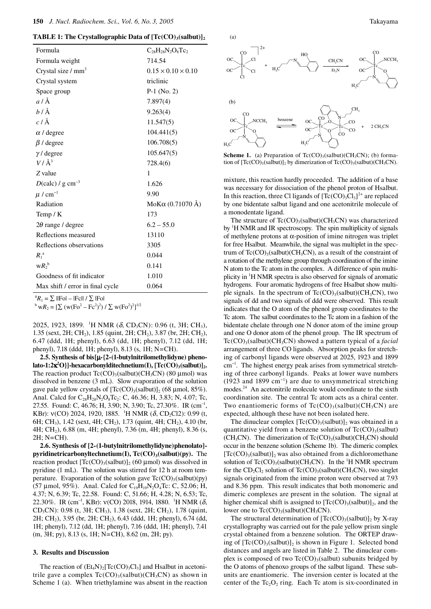**TABLE 1: The Crystallographic Data of**  $[Te(CO), (salbut)],$ 

| Formula                               | $C_{28}H_{28}N_2O_8Tc_2$       |  |  |
|---------------------------------------|--------------------------------|--|--|
| Formula weight                        | 714.54                         |  |  |
| Crystal size $/mm3$                   | $0.15 \times 0.10 \times 0.10$ |  |  |
| Crystal system                        | triclinic                      |  |  |
| Space group                           | $P-1$ (No. 2)                  |  |  |
| $a/\text{\AA}$                        | 7.897(4)                       |  |  |
| $b/\AA$                               | 9.263(4)                       |  |  |
| $c/\text{Å}$                          | 11.547(5)                      |  |  |
| $\alpha$ / degree                     | 104.441(5)                     |  |  |
| $\beta$ / degree                      | 106.708(5)                     |  |  |
| $\gamma$ / degree                     | 105.647(5)                     |  |  |
| $V/\AA^3$                             | 728.4(6)                       |  |  |
| $Z$ value                             | 1                              |  |  |
| $D(\text{calc})$ / g cm <sup>-3</sup> | 1.626                          |  |  |
| $\mu$ / cm <sup>-1</sup>              | 9.90                           |  |  |
| Radiation                             | MoKα $(0.71070$ Å)             |  |  |
| Temp $/K$                             | 173                            |  |  |
| $2\theta$ range / degree              | $6.2 - 55.0$                   |  |  |
| Reflections measured                  | 13110                          |  |  |
| Reflections observations              | 3305                           |  |  |
| $R_1^{\ a}$                           | 0.044                          |  |  |
| $W R_2^b$                             | 0.141                          |  |  |
| Goodness of fit indicator             | 1.010                          |  |  |
| Max shift / error in final cycle      | 0.064                          |  |  |
|                                       |                                |  |  |

 ${}^{\rm a}R_1 = \sum$  ||Fo| – ||Fc|| /  $\sum$  ||Fo|

<sup>a</sup> $R_1 = \sum$  ||Fo| – |Fc|| /  $\sum$  |Fo|<br><sup>b</sup> w $R_2 = [\sum (w(Fo^2 - Fc^2)^2) / \sum w(Fo^2)^2]^{1/2}$ 

2025, 1923, 1899. <sup>1</sup>H NMR ( $\delta$ , CD<sub>3</sub>CN): 0.96 (t, 3H; CH<sub>3</sub>), 1.35 (sext, 2H; CH2), 1.85 (quint, 2H; CH2), 3.87 (br, 2H; CH2), 6.47 (ddd, 1H; phenyl), 6.63 (dd, 1H; phenyl), 7.12 (dd, 1H; phenyl), 7.18 (ddd, 1H; phenyl), 8.13 (s, 1H; N=CH).

**2.5. Synthesis of bis[**µ**-{2-(1-butylnitrilomethylidyne) pheno**lato-1:2κ<sup>2</sup>O}]-hexacarbonylditechnetium(I), [Tc(CO)<sub>3</sub>(salbut)]<sub>2</sub>. The reaction product  $Tc(CO)$ <sub>3</sub>(salbut)(CH<sub>3</sub>CN) (80 µmol) was dissolved in benzene (3 mL). Slow evaporation of the solution gave pale yellow crystals of  $[Te(CO)_3(salbut)]_2$  (68 µmol, 85%). Anal. Calcd for  $C_{28}H_{28}N_2O_8Tc_2$ : C, 46.36; H, 3.83; N, 4.07; Tc, 27.55. Found: C, 46.76; H, 3.90; N, 3.90; Tc, 27.30%. IR (cm<sup>-1</sup>, KBr):  $v(CO)$  2024, 1920, 1885. <sup>1</sup>H NMR ( $\delta$ , CD<sub>2</sub>Cl2): 0.99 (t, 6H; CH<sub>3</sub>), 1.42 (sext, 4H; CH<sub>2</sub>), 1.73 (quint, 4H; CH<sub>2</sub>), 4.10 (br, 4H; CH2), 6.88 (m, 4H; phenyl), 7.36 (m, 4H; phenyl), 8.36 (s, 2H; N=CH).

**2.6. Synthesis of [2-(1-butylnitrilomethylidyne)phenolato] pyridinetricarbonyltechnetium(I), Tc(CO)<sub>3</sub>(salbut)(py).** The reaction product  $[Te(CO)_3(salbut)]_2$  (60 µmol) was dissolved in pyridine (1 mL). The solution was stirred for 12 h at room temperature. Evaporation of the solution gave  $Tc(CO)_{3}$ (salbut)(py) (57 µmol, 95%). Anal. Calcd for  $C_{19}H_{19}N_2O_4Tc$ : C, 52.06; H, 4.37; N, 6.39; Tc, 22.58. Found: C, 51.66; H, 4.28; N, 6.53; Tc, 22.30%. IR (cm<sup>-1</sup>, KBr):  $v(CO)$  2018, 1914, 1880. <sup>1</sup>H NMR (δ, CD<sub>3</sub>CN): 0.98 (t, 3H; CH<sub>3</sub>), 1.38 (sext, 2H; CH<sub>2</sub>), 1.78 (quint, 2H; CH2), 3.95 (br, 2H; CH2), 6.43 (ddd, 1H; phenyl), 6.74 (dd, 1H; phenyl), 7.12 (dd, 1H; phenyl), 7.16 (ddd, 1H; phenyl), 7.41 (m, 3H; py), 8.13 (s, 1H; N=CH), 8.62 (m, 2H; py).

## **3. Results and Discussion**

The reaction of  $(Et<sub>4</sub>N)<sub>2</sub>[Tc(CO)<sub>3</sub>Cl<sub>3</sub>]$  and Hsalbut in acetonitrile gave a complex  $Tc(CO)$ <sub>3</sub>(salbut)(CH<sub>3</sub>CN) as shown in Scheme 1 (a). When triethylamine was absent in the reaction





**Scheme 1.** (a) Preparation of Tc(CO)<sub>3</sub>(salbut)(CH<sub>3</sub>CN); (b) formation of  $[Te(CO)_3(salbut)]_2$  by dimerization of  $Te(CO)_3(salbut)(CH_3CN)$ .

mixture, this reaction hardly proceeded. The addition of a base was necessary for dissociation of the phenol proton of Hsalbut. In this reaction, three Cl ligands of  $[Te(CO)_3Cl_3]^2$ <sup>+</sup> are replaced by one bidentate salbut ligand and one acetonitrile molecule of a monodentate ligand.

The structure of  $Tc(CO)$ <sub>3</sub>(salbut)(CH<sub>3</sub>CN) was characterized by <sup>1</sup>H NMR and IR spectroscopy. The spin multiplicity of signals of methylene protons at α-position of imine nitrogen was triplet for free Hsalbut. Meanwhile, the signal was multiplet in the spectrum of  $Tc(CO)_{3}$ (salbut)(CH<sub>3</sub>CN), as a result of the constraint of a rotation of the methylene group through coordination of the imine N atom to the Tc atom in the complex. A difference of spin multiplicity in 1 H NMR spectra is also observed for signals of aromatic hydrogens. Four aromatic hydrogens of free Hsalbut show multiple signals. In the spectrum of  $Tc(CO)_{3}(salbut)(CH_{3}CN)$ , two signals of dd and two signals of ddd were observed. This result indicates that the O atom of the phenol group coordinates to the Tc atom. The salbut coordinates to the Tc atom in a fashion of the bidentate chelate through one N donor atom of the imine group and one O donor atom of the phenol group. The IR spectrum of Tc(CO)<sub>3</sub>(salbut)(CH<sub>3</sub>CN) showed a pattern typical of a *facial* arrangement of three CO ligands. Absorption peaks for stretching of carbonyl ligands were observed at 2025, 1923 and 1899 cm−1. The highest energy peak arises from symmetrical stretching of three carbonyl ligands. Peaks at lower wave numbers (1923 and 1899 cm−1) are due to unsymmetrical stretching modes.<sup>24</sup> An acetonitrile molecule would coordinate to the sixth coordination site. The central Tc atom acts as a chiral center. Two enantiomeric forms of  $Tc(CO)$ <sub>3</sub>(salbut)(CH<sub>3</sub>CN) are expected, although these have not been isolated here.

The dinuclear complex  $[Te(CO)_3(salbut)]_2$  was obtained in a quantitative yield from a benzene solution of  $Tc(CO)_{3}$ (salbut) (CH<sub>3</sub>CN). The dimerization of Tc(CO)<sub>3</sub>(salbut)(CH<sub>3</sub>CN) should occur in the benzene solution (Scheme 1b). The dimeric complex  $[Tc(CO)_{3}(salbut)]_{2}$  was also obtained from a dichloromethane solution of  $Tc(CO)_{3}$ (salbut)(CH<sub>3</sub>CN). In the <sup>1</sup>H NMR spectrum for the  $CD_2Cl_2$  solution of  $Tc(CO)_3$ (salbut)(CH<sub>3</sub>CN), two singlet signals originated from the imine proton were observed at 7.93 and 8.36 ppm. This result indicates that both monomeric and dimeric complexes are present in the solution. The signal at higher chemical shift is assigned to  $[Te(CO)_3(salbut)]_2$ , and the lower one to  $Tc(CO)_{3}$ (salbut)(CH<sub>3</sub>CN).

The structural determination of  $[Te(CO)_{3}(salbut)]_{2}$  by X-ray crystallography was carried out for the pale yellow prism single crystal obtained from a benzene solution. The ORTEP drawing of  $[Te(CO)_{3}(salbut)]_{2}$  is shown in Figure 1. Selected bond distances and angels are listed in Table 2.The dinuclear complex is composed of two  $Tc(CO)$ <sub>3</sub>(salbut) subunits bridged by the O atoms of phenoxo groups of the salbut ligand. These subunits are enantiomeric. The inversion center is located at the center of the  $Tc_2O_2$  ring. Each Tc atom is six-coordinated in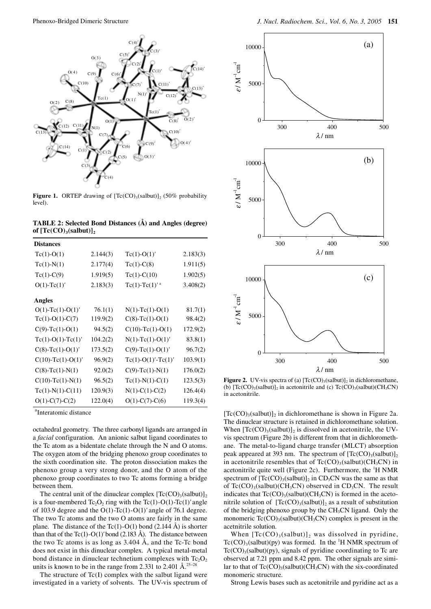

**Figure 1.** ORTEP drawing of  $[Te(CO)_3(salbut)]_2$  (50% probability level).

| TABLE 2: Selected Bond Distances (A) and Angles (degree) |  |  |  |
|----------------------------------------------------------|--|--|--|
| of $[Tc(CO)_{3}(salbut)],$                               |  |  |  |

| <b>Distances</b>           |          |                      |          |
|----------------------------|----------|----------------------|----------|
| $Tc(1)-O(1)$               | 2.144(3) | $Tc(1)-O(1)$         | 2.183(3) |
| $Tc(1)-N(1)$               | 2.177(4) | $Tc(1)-C(8)$         | 1.911(5) |
| $Tc(1)-C(9)$               | 1.919(5) | $Tc(1)-C(10)$        | 1.902(5) |
| $O(1)$ -Tc $(1)'$          | 2.183(3) | $Tc(1)-Tc(1)^{ra}$   | 3.408(2) |
| Angles                     |          |                      |          |
| $O(1)$ -Tc $(1)$ -O $(1)'$ | 76.1(1)  | $N(1)-Tc(1)-O(1)$    | 81.7(1)  |
| $Tc(1)-O(1)-C(7)$          | 119.9(2) | $C(8)-Tc(1)-O(1)$    | 98.4(2)  |
| $C(9)-Tc(1)-O(1)$          | 94.5(2)  | $C(10)-Tc(1)-O(1)$   | 172.9(2) |
| $Tc(1)-O(1)-Tc(1)$         | 104.2(2) | $N(1)-Tc(1)-O(1)'$   | 83.8(1)  |
| $C(8)-Tc(1)-O(1)'$         | 173.5(2) | $C(9)-Tc(1)-O(1)'$   | 96.7(2)  |
| $C(10)-Tc(1)-O(1)$         | 96.9(2)  | $Tc(1)-O(1)'-Tc(1)'$ | 103.9(1) |
| $C(8)-Tc(1)-N(1)$          | 92.0(2)  | $C(9)$ -Tc(1)-N(1)   | 176.0(2) |
| $C(10)-Tc(1)-N(1)$         | 96.5(2)  | $Tc(1)-N(1)-C(1)$    | 123.5(3) |
| $Tc(1)-N(1)-C(11)$         | 120.9(3) | $N(1)-C(1)-C(2)$     | 126.4(4) |
| $O(1)$ -C(7)-C(2)          | 122.0(4) | $O(1)$ -C(7)-C(6)    | 119.3(4) |

a Interatomic distance

octahedral geometry. The three carbonyl ligands are arranged in a *facial* configuration. An anionic salbut ligand coordinates to the Tc atom as a bidentate chelate through the N and O atoms. The oxygen atom of the bridging phenoxo group coordinates to the sixth coordination site. The proton dissociation makes the phenoxo group a very strong donor, and the O atom of the phenoxo group coordinates to two Tc atoms forming a bridge between them.

The central unit of the dinuclear complex  $[Te(CO)_{3}(salbut)]_{2}$ is a four-membered  $Tc_2O_2$  ring with the  $Tc(1)-O(1)-Tc(1)$ ' angle of 103.9 degree and the  $O(1)$ -Tc(1)- $O(1)$ ' angle of 76.1 degree. The two Tc atoms and the two O atoms are fairly in the same plane. The distance of the Tc(1)-O(1) bond (2.144 Å) is shorter than that of the Tc(1)-O(1)' bond (2.183 Å). The distance between the two Tc atoms is as long as  $3.404 \text{ Å}$ , and the Tc-Tc bond does not exist in this dinuclear complex. A typical metal-metal bond distance in dinuclear technetium complexes with  $Tc_2O_2$ units is known to be in the range from 2.331 to 2.401 Å.<sup>25−28</sup>

The structure of  $Tc(I)$  complex with the salbut ligand were investigated in a variety of solvents. The UV-vis spectrum of



**Figure 2.** UV-vis spectra of (a)  $[Te(CO)_3(salbut)]_2$  in dichloromethane, (b)  $[Te(CO)_{3}(salbut)]_{2}$  in acetonitrile and (c)  $Te(CO)_{3}(salbut)(CH_{3}CN)$ in acetonitrile.

 $[Tc(CO)_{3}(salbut)]_{2}$  in dichloromethane is shown in Figure 2a. The dinuclear structure is retained in dichloromethane solution. When  $[Tc(CO)_{3}(salbut)]_{2}$  is dissolved in acetonitrile, the UVvis spectrum (Figure 2b) is different from that in dichloromethane. The metal-to-ligand charge transfer (MLCT) absorption peak appeared at 393 nm. The spectrum of  $[Te(CO)_3(salbut)]_2$ in acetonitrile resembles that of  $Tc(CO)_{3}(salbut)(CH_{3}CN)$  in acetonitrile quite well (Figure 2c). Furthermore, the  ${}^{1}$ H NMR spectrum of  $[Te(CO)_3(salbut)]_2$  in CD<sub>3</sub>CN was the same as that of  $Tc(CO)_{3}$ (salbut)(CH<sub>3</sub>CN) observed in CD<sub>3</sub>CN. The result indicates that  $Tc(CO)_{3}(salbut)(CH_{3}CN)$  is formed in the acetonitrile solution of  $[Tc(CO)_{3}(salbut)]_{2}$  as a result of substitution of the bridging phenoxo group by the  $CH<sub>3</sub>CN$  ligand. Only the monomeric  $Tc(CO)$ <sub>3</sub>(salbut)(CH<sub>3</sub>CN) complex is present in the acetnitrile solution.

When  $[Te(CO)_3 (salbut)]_2$  was dissolved in pyridine,  $Tc(CO)_{3}$ (salbut)(py) was formed. In the <sup>1</sup>H NMR spectrum of  $Tc(CO)$ <sub>3</sub>(salbut)(py), signals of pyridine coordinating to Tc are observed at 7.21 ppm and 8.42 ppm. The other signals are similar to that of  $Tc(CO)$ <sub>3</sub>(salbut)(CH<sub>3</sub>CN) with the six-coordinated monomeric structure.

Strong Lewis bases such as acetonitrile and pyridine act as a